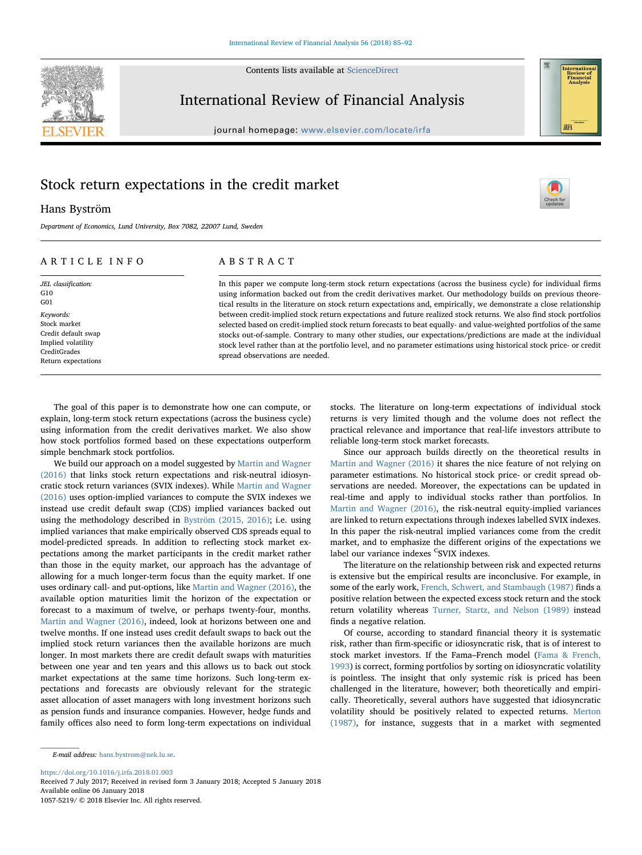Contents lists available at [ScienceDirect](http://www.sciencedirect.com/science/journal/10575219)



# International Review of Financial Analysis

journal homepage: [www.elsevier.com/locate/irfa](https://www.elsevier.com/locate/irfa)

# Stock return expectations in the credit market

# Hans Byström

Department of Economics, Lund University, Box 7082, 22007 Lund, Sweden

# ARTICLE INFO

JEL classification: G10 G01 Keywords: Stock market Credit default swap Implied volatility CreditGrades Return expectations

# ABSTRACT

In this paper we compute long-term stock return expectations (across the business cycle) for individual firms using information backed out from the credit derivatives market. Our methodology builds on previous theoretical results in the literature on stock return expectations and, empirically, we demonstrate a close relationship between credit-implied stock return expectations and future realized stock returns. We also find stock portfolios selected based on credit-implied stock return forecasts to beat equally- and value-weighted portfolios of the same stocks out-of-sample. Contrary to many other studies, our expectations/predictions are made at the individual stock level rather than at the portfolio level, and no parameter estimations using historical stock price- or credit spread observations are needed.

The goal of this paper is to demonstrate how one can compute, or explain, long-term stock return expectations (across the business cycle) using information from the credit derivatives market. We also show how stock portfolios formed based on these expectations outperform simple benchmark stock portfolios.

We build our approach on a model suggested by [Martin and Wagner](#page-7-0) [\(2016\)](#page-7-0) that links stock return expectations and risk-neutral idiosyncratic stock return variances (SVIX indexes). While [Martin and Wagner](#page-7-0) [\(2016\)](#page-7-0) uses option-implied variances to compute the SVIX indexes we instead use credit default swap (CDS) implied variances backed out using the methodology described in [Byström \(2015, 2016\)](#page-7-1); i.e. using implied variances that make empirically observed CDS spreads equal to model-predicted spreads. In addition to reflecting stock market expectations among the market participants in the credit market rather than those in the equity market, our approach has the advantage of allowing for a much longer-term focus than the equity market. If one uses ordinary call- and put-options, like [Martin and Wagner \(2016\)](#page-7-0), the available option maturities limit the horizon of the expectation or forecast to a maximum of twelve, or perhaps twenty-four, months. [Martin and Wagner \(2016\),](#page-7-0) indeed, look at horizons between one and twelve months. If one instead uses credit default swaps to back out the implied stock return variances then the available horizons are much longer. In most markets there are credit default swaps with maturities between one year and ten years and this allows us to back out stock market expectations at the same time horizons. Such long-term expectations and forecasts are obviously relevant for the strategic asset allocation of asset managers with long investment horizons such as pension funds and insurance companies. However, hedge funds and family offices also need to form long-term expectations on individual stocks. The literature on long-term expectations of individual stock returns is very limited though and the volume does not reflect the practical relevance and importance that real-life investors attribute to reliable long-term stock market forecasts.

Since our approach builds directly on the theoretical results in [Martin and Wagner \(2016\)](#page-7-0) it shares the nice feature of not relying on parameter estimations. No historical stock price- or credit spread observations are needed. Moreover, the expectations can be updated in real-time and apply to individual stocks rather than portfolios. In [Martin and Wagner \(2016\),](#page-7-0) the risk-neutral equity-implied variances are linked to return expectations through indexes labelled SVIX indexes. In this paper the risk-neutral implied variances come from the credit market, and to emphasize the different origins of the expectations we label our variance indexes <sup>C</sup>SVIX indexes.

The literature on the relationship between risk and expected returns is extensive but the empirical results are inconclusive. For example, in some of the early work, [French, Schwert, and Stambaugh \(1987\)](#page-7-2) finds a positive relation between the expected excess stock return and the stock return volatility whereas [Turner, Startz, and Nelson \(1989\)](#page-7-3) instead finds a negative relation.

Of course, according to standard financial theory it is systematic risk, rather than firm-specific or idiosyncratic risk, that is of interest to stock market investors. If the Fama–French model ([Fama & French,](#page-7-4) [1993\)](#page-7-4) is correct, forming portfolios by sorting on idiosyncratic volatility is pointless. The insight that only systemic risk is priced has been challenged in the literature, however; both theoretically and empirically. Theoretically, several authors have suggested that idiosyncratic volatility should be positively related to expected returns. [Merton](#page-7-5) [\(1987\),](#page-7-5) for instance, suggests that in a market with segmented

<https://doi.org/10.1016/j.irfa.2018.01.003>

Received 7 July 2017; Received in revised form 3 January 2018; Accepted 5 January 2018 Available online 06 January 2018

1057-5219/ © 2018 Elsevier Inc. All rights reserved.



[T](http://crossmark.crossref.org/dialog/?doi=10.1016/j.irfa.2018.01.003&domain=pdf)

E-mail address: [hans.bystrom@nek.lu.se.](mailto:hans.bystrom@nek.lu.se)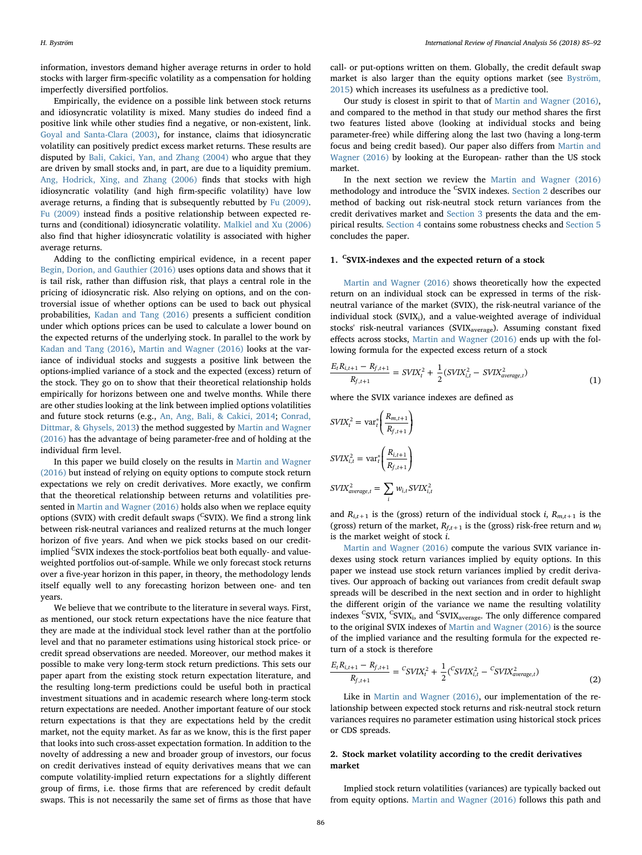information, investors demand higher average returns in order to hold stocks with larger firm-specific volatility as a compensation for holding imperfectly diversified portfolios.

Empirically, the evidence on a possible link between stock returns and idiosyncratic volatility is mixed. Many studies do indeed find a positive link while other studies find a negative, or non-existent, link. [Goyal and Santa-Clara \(2003\)](#page-7-6), for instance, claims that idiosyncratic volatility can positively predict excess market returns. These results are disputed by [Bali, Cakici, Yan, and Zhang \(2004\)](#page-7-7) who argue that they are driven by small stocks and, in part, are due to a liquidity premium. [Ang, Hodrick, Xing, and Zhang \(2006\)](#page-7-8) finds that stocks with high idiosyncratic volatility (and high firm-specific volatility) have low average returns, a finding that is subsequently rebutted by [Fu \(2009\)](#page-7-9). [Fu \(2009\)](#page-7-9) instead finds a positive relationship between expected returns and (conditional) idiosyncratic volatility. [Malkiel and Xu \(2006\)](#page-7-10) also find that higher idiosyncratic volatility is associated with higher average returns.

Adding to the conflicting empirical evidence, in a recent paper [Begin, Dorion, and Gauthier \(2016\)](#page-7-11) uses options data and shows that it is tail risk, rather than diffusion risk, that plays a central role in the pricing of idiosyncratic risk. Also relying on options, and on the controversial issue of whether options can be used to back out physical probabilities, [Kadan and Tang \(2016\)](#page-7-12) presents a sufficient condition under which options prices can be used to calculate a lower bound on the expected returns of the underlying stock. In parallel to the work by [Kadan and Tang \(2016\),](#page-7-12) [Martin and Wagner \(2016\)](#page-7-0) looks at the variance of individual stocks and suggests a positive link between the options-implied variance of a stock and the expected (excess) return of the stock. They go on to show that their theoretical relationship holds empirically for horizons between one and twelve months. While there are other studies looking at the link between implied options volatilities and future stock returns (e.g., [An, Ang, Bali, & Cakici, 2014;](#page-7-13) [Conrad,](#page-7-14) [Dittmar, & Ghysels, 2013](#page-7-14)) the method suggested by [Martin and Wagner](#page-7-0) [\(2016\)](#page-7-0) has the advantage of being parameter-free and of holding at the individual firm level.

In this paper we build closely on the results in [Martin and Wagner](#page-7-0) [\(2016\)](#page-7-0) but instead of relying on equity options to compute stock return expectations we rely on credit derivatives. More exactly, we confirm that the theoretical relationship between returns and volatilities presented in [Martin and Wagner \(2016\)](#page-7-0) holds also when we replace equity options (SVIX) with credit default swaps (<sup>C</sup>SVIX). We find a strong link between risk-neutral variances and realized returns at the much longer horizon of five years. And when we pick stocks based on our creditimplied <sup>C</sup>SVIX indexes the stock-portfolios beat both equally- and valueweighted portfolios out-of-sample. While we only forecast stock returns over a five-year horizon in this paper, in theory, the methodology lends itself equally well to any forecasting horizon between one- and ten years.

We believe that we contribute to the literature in several ways. First, as mentioned, our stock return expectations have the nice feature that they are made at the individual stock level rather than at the portfolio level and that no parameter estimations using historical stock price- or credit spread observations are needed. Moreover, our method makes it possible to make very long-term stock return predictions. This sets our paper apart from the existing stock return expectation literature, and the resulting long-term predictions could be useful both in practical investment situations and in academic research where long-term stock return expectations are needed. Another important feature of our stock return expectations is that they are expectations held by the credit market, not the equity market. As far as we know, this is the first paper that looks into such cross-asset expectation formation. In addition to the novelty of addressing a new and broader group of investors, our focus on credit derivatives instead of equity derivatives means that we can compute volatility-implied return expectations for a slightly different group of firms, i.e. those firms that are referenced by credit default swaps. This is not necessarily the same set of firms as those that have call- or put-options written on them. Globally, the credit default swap market is also larger than the equity options market (see [Byström,](#page-7-1) [2015\)](#page-7-1) which increases its usefulness as a predictive tool.

Our study is closest in spirit to that of [Martin and Wagner \(2016\)](#page-7-0), and compared to the method in that study our method shares the first two features listed above (looking at individual stocks and being parameter-free) while differing along the last two (having a long-term focus and being credit based). Our paper also differs from [Martin and](#page-7-0) [Wagner \(2016\)](#page-7-0) by looking at the European- rather than the US stock market.

In the next section we review the [Martin and Wagner \(2016\)](#page-7-0) methodology and introduce the <sup>C</sup>SVIX indexes. [Section 2](#page-1-0) describes our method of backing out risk-neutral stock return variances from the credit derivatives market and [Section 3](#page-2-0) presents the data and the empirical results. [Section 4](#page-4-0) contains some robustness checks and [Section 5](#page-6-0) concludes the paper.

# 1. <sup>C</sup>SVIX-indexes and the expected return of a stock

[Martin and Wagner \(2016\)](#page-7-0) shows theoretically how the expected return on an individual stock can be expressed in terms of the riskneutral variance of the market (SVIX), the risk-neutral variance of the individual stock (SVIX<sub>i</sub>), and a value-weighted average of individual stocks' risk-neutral variances (SVIX<sub>average</sub>). Assuming constant fixed effects across stocks, [Martin and Wagner \(2016\)](#page-7-0) ends up with the following formula for the expected excess return of a stock

$$
\frac{E_t R_{i,t+1} - R_{f,t+1}}{R_{f,t+1}} = SVIX_t^2 + \frac{1}{2}(SVIX_{i,t}^2 - SVIX_{average,t}^2)
$$
\n(1)

where the SVIX variance indexes are defined as

$$
SVIX_t^2 = \text{var}_t^* \left( \frac{R_{m,t+1}}{R_{f,t+1}} \right)
$$
  

$$
SVIX_{i,t}^2 = \text{var}_t^* \left( \frac{R_{i,t+1}}{R_{f,t+1}} \right)
$$
  

$$
SVIX_{average,t}^2 = \sum_i w_{i,t} SVIX_{i,t}^2
$$

and  $R_{i,t+1}$  is the (gross) return of the individual stock i,  $R_{m,t+1}$  is the (gross) return of the market,  $R_{f,t+1}$  is the (gross) risk-free return and  $w_i$ is the market weight of stock i.

[Martin and Wagner \(2016\)](#page-7-0) compute the various SVIX variance indexes using stock return variances implied by equity options. In this paper we instead use stock return variances implied by credit derivatives. Our approach of backing out variances from credit default swap spreads will be described in the next section and in order to highlight the different origin of the variance we name the resulting volatility indexes <sup>C</sup>SVIX, <sup>C</sup>SVIX<sub>i</sub>, and <sup>C</sup>SVIX<sub>average</sub>. The only difference compared to the original SVIX indexes of [Martin and Wagner \(2016\)](#page-7-0) is the source of the implied variance and the resulting formula for the expected return of a stock is therefore

<span id="page-1-1"></span>
$$
\frac{E_t R_{i,t+1} - R_{f,t+1}}{R_{f,t+1}} = {^CSVIX_t^2} + \frac{1}{2}({^CSVIX_{i,t}^2 - {^CSVIX_{average,t}^2})
$$
\n(2)

Like in [Martin and Wagner \(2016\)](#page-7-0), our implementation of the relationship between expected stock returns and risk-neutral stock return variances requires no parameter estimation using historical stock prices or CDS spreads.

# <span id="page-1-0"></span>2. Stock market volatility according to the credit derivatives market

Implied stock return volatilities (variances) are typically backed out from equity options. [Martin and Wagner \(2016\)](#page-7-0) follows this path and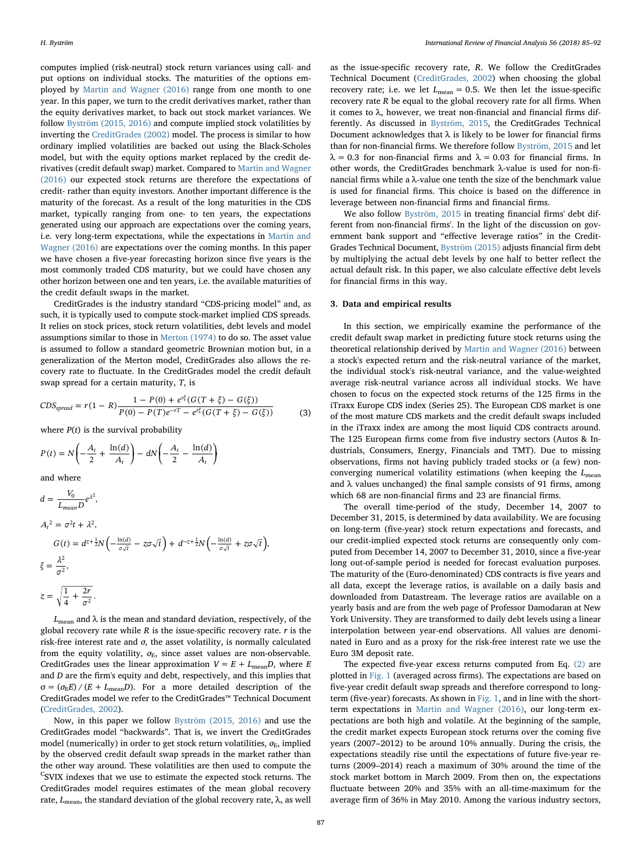computes implied (risk-neutral) stock return variances using call- and put options on individual stocks. The maturities of the options employed by [Martin and Wagner \(2016\)](#page-7-0) range from one month to one year. In this paper, we turn to the credit derivatives market, rather than the equity derivatives market, to back out stock market variances. We follow [Byström \(2015, 2016\)](#page-7-1) and compute implied stock volatilities by inverting the [CreditGrades \(2002\)](#page-7-15) model. The process is similar to how ordinary implied volatilities are backed out using the Black-Scholes model, but with the equity options market replaced by the credit derivatives (credit default swap) market. Compared to [Martin and Wagner](#page-7-0) [\(2016\)](#page-7-0) our expected stock returns are therefore the expectations of credit- rather than equity investors. Another important difference is the maturity of the forecast. As a result of the long maturities in the CDS market, typically ranging from one- to ten years, the expectations generated using our approach are expectations over the coming years, i.e. very long-term expectations, while the expectations in [Martin and](#page-7-0) [Wagner \(2016\)](#page-7-0) are expectations over the coming months. In this paper we have chosen a five-year forecasting horizon since five years is the most commonly traded CDS maturity, but we could have chosen any other horizon between one and ten years, i.e. the available maturities of the credit default swaps in the market.

CreditGrades is the industry standard "CDS-pricing model" and, as such, it is typically used to compute stock-market implied CDS spreads. It relies on stock prices, stock return volatilities, debt levels and model assumptions similar to those in [Merton \(1974\)](#page-7-16) to do so. The asset value is assumed to follow a standard geometric Brownian motion but, in a generalization of the Merton model, CreditGrades also allows the recovery rate to fluctuate. In the CreditGrades model the credit default swap spread for a certain maturity, T, is

$$
CDS_{spread} = r(1 - R)\frac{1 - P(0) + e^{r\xi}(G(T + \xi) - G(\xi))}{P(0) - P(T)e^{-rT} - e^{r\xi}(G(T + \xi) - G(\xi))}
$$
(3)

where  $P(t)$  is the survival probability

$$
P(t) = N\left(-\frac{A_t}{2} + \frac{\ln(d)}{A_t}\right) - dN\left(-\frac{A_t}{2} - \frac{\ln(d)}{A_t}\right)
$$

and where

$$
d = \frac{V_0}{L_{mean}D}e^{\lambda^2},
$$
  
\n
$$
A_t^2 = \sigma^2 t + \lambda^2,
$$
  
\n
$$
G(t) = d^{z + \frac{1}{2}}N\left(-\frac{\ln(d)}{\sigma\sqrt{t}} - z\sigma\sqrt{t}\right) + d^{-z + \frac{1}{2}}N\left(-\frac{\ln(d)}{\sigma\sqrt{t}} + z\sigma\sqrt{t}\right),
$$
  
\n
$$
\xi = \frac{\lambda^2}{\sigma^2},
$$
  
\n
$$
z = \sqrt{\frac{1}{4} + \frac{2r}{\sigma^2}}.
$$

 $L_{\text{mean}}$  and  $\lambda$  is the mean and standard deviation, respectively, of the global recovery rate while  $R$  is the issue-specific recovery rate.  $r$  is the risk-free interest rate and  $\sigma$ , the asset volatility, is normally calculated from the equity volatility,  $\sigma_{\rm E}$ , since asset values are non-observable. CreditGrades uses the linear approximation  $V = E + L_{\text{mean}}D$ , where E and D are the firm's equity and debt, respectively, and this implies that  $\sigma = (\sigma_{\rm E} E)/(E + L_{\rm mean} D)$ . For a more detailed description of the CreditGrades model we refer to the CreditGrades™ Technical Document ([CreditGrades, 2002](#page-7-15)).

Now, in this paper we follow [Byström \(2015, 2016\)](#page-7-1) and use the CreditGrades model "backwards". That is, we invert the CreditGrades model (numerically) in order to get stock return volatilities,  $\sigma_{\rm E}$ , implied by the observed credit default swap spreads in the market rather than the other way around. These volatilities are then used to compute the <sup>C</sup>SVIX indexes that we use to estimate the expected stock returns. The CreditGrades model requires estimates of the mean global recovery rate,  $L_{\text{mean}}$ , the standard deviation of the global recovery rate, λ, as well

as the issue-specific recovery rate, R. We follow the CreditGrades Technical Document ([CreditGrades, 2002\)](#page-7-15) when choosing the global recovery rate; i.e. we let  $L_{\text{mean}} = 0.5$ . We then let the issue-specific recovery rate R be equal to the global recovery rate for all firms. When it comes to  $\lambda$ , however, we treat non-financial and financial firms differently. As discussed in [Byström, 2015,](#page-7-1) the CreditGrades Technical Document acknowledges that  $\lambda$  is likely to be lower for financial firms than for non-financial firms. We therefore follow [Byström, 2015](#page-7-1) and let  $\lambda = 0.3$  for non-financial firms and  $\lambda = 0.03$  for financial firms. In other words, the CreditGrades benchmark λ-value is used for non-financial firms while a λ-value one tenth the size of the benchmark value is used for financial firms. This choice is based on the difference in leverage between non-financial firms and financial firms.

We also follow [Byström, 2015](#page-7-1) in treating financial firms' debt different from non-financial firms'. In the light of the discussion on government bank support and "effective leverage ratios" in the Credit-Grades Technical Document, [Byström \(2015\)](#page-7-1) adjusts financial firm debt by multiplying the actual debt levels by one half to better reflect the actual default risk. In this paper, we also calculate effective debt levels for financial firms in this way.

# <span id="page-2-0"></span>3. Data and empirical results

In this section, we empirically examine the performance of the credit default swap market in predicting future stock returns using the theoretical relationship derived by [Martin and Wagner \(2016\)](#page-7-0) between a stock's expected return and the risk-neutral variance of the market, the individual stock's risk-neutral variance, and the value-weighted average risk-neutral variance across all individual stocks. We have chosen to focus on the expected stock returns of the 125 firms in the iTraxx Europe CDS index (Series 25). The European CDS market is one of the most mature CDS markets and the credit default swaps included in the iTraxx index are among the most liquid CDS contracts around. The 125 European firms come from five industry sectors (Autos & Industrials, Consumers, Energy, Financials and TMT). Due to missing observations, firms not having publicly traded stocks or (a few) nonconverging numerical volatility estimations (when keeping the  $L_{\text{mean}}$ and  $\lambda$  values unchanged) the final sample consists of 91 firms, among which 68 are non-financial firms and 23 are financial firms.

The overall time-period of the study, December 14, 2007 to December 31, 2015, is determined by data availability. We are focusing on long-term (five-year) stock return expectations and forecasts, and our credit-implied expected stock returns are consequently only computed from December 14, 2007 to December 31, 2010, since a five-year long out-of-sample period is needed for forecast evaluation purposes. The maturity of the (Euro-denominated) CDS contracts is five years and all data, except the leverage ratios, is available on a daily basis and downloaded from Datastream. The leverage ratios are available on a yearly basis and are from the web page of Professor Damodaran at New York University. They are transformed to daily debt levels using a linear interpolation between year-end observations. All values are denominated in Euro and as a proxy for the risk-free interest rate we use the Euro 3M deposit rate.

The expected five-year excess returns computed from Eq. [\(2\)](#page-1-1) are plotted in [Fig. 1](#page-3-0) (averaged across firms). The expectations are based on five-year credit default swap spreads and therefore correspond to long-term (five-year) forecasts. As shown in [Fig. 1,](#page-3-0) and in line with the shortterm expectations in [Martin and Wagner \(2016\)](#page-7-0), our long-term expectations are both high and volatile. At the beginning of the sample, the credit market expects European stock returns over the coming five years (2007–2012) to be around 10% annually. During the crisis, the expectations steadily rise until the expectations of future five-year returns (2009–2014) reach a maximum of 30% around the time of the stock market bottom in March 2009. From then on, the expectations fluctuate between 20% and 35% with an all-time-maximum for the average firm of 36% in May 2010. Among the various industry sectors,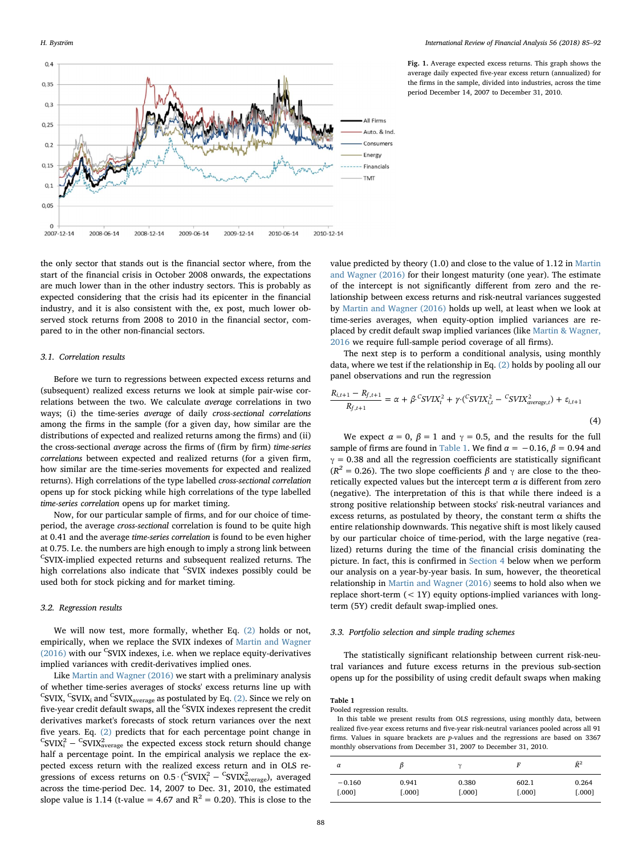<span id="page-3-0"></span>

Fig. 1. Average expected excess returns. This graph shows the average daily expected five-year excess return (annualized) for the firms in the sample, divided into industries, across the time period December 14, 2007 to December 31, 2010.

the only sector that stands out is the financial sector where, from the start of the financial crisis in October 2008 onwards, the expectations are much lower than in the other industry sectors. This is probably as expected considering that the crisis had its epicenter in the financial industry, and it is also consistent with the, ex post, much lower observed stock returns from 2008 to 2010 in the financial sector, compared to in the other non-financial sectors.

## 3.1. Correlation results

Before we turn to regressions between expected excess returns and (subsequent) realized excess returns we look at simple pair-wise correlations between the two. We calculate average correlations in two ways; (i) the time-series average of daily cross-sectional correlations among the firms in the sample (for a given day, how similar are the distributions of expected and realized returns among the firms) and (ii) the cross-sectional average across the firms of (firm by firm) time-series correlations between expected and realized returns (for a given firm, how similar are the time-series movements for expected and realized returns). High correlations of the type labelled cross-sectional correlation opens up for stock picking while high correlations of the type labelled time-series correlation opens up for market timing.

Now, for our particular sample of firms, and for our choice of timeperiod, the average cross-sectional correlation is found to be quite high at 0.41 and the average time-series correlation is found to be even higher at 0.75. I.e. the numbers are high enough to imply a strong link between <sup>C</sup>SVIX-implied expected returns and subsequent realized returns. The high correlations also indicate that <sup>C</sup>SVIX indexes possibly could be used both for stock picking and for market timing.

#### 3.2. Regression results

We will now test, more formally, whether Eq. [\(2\)](#page-1-1) holds or not, empirically, when we replace the SVIX indexes of [Martin and Wagner](#page-7-0)  $(2016)$  with our <sup>C</sup>SVIX indexes, i.e. when we replace equity-derivatives implied variances with credit-derivatives implied ones.

Like [Martin and Wagner \(2016\)](#page-7-0) we start with a preliminary analysis of whether time-series averages of stocks' excess returns line up with <sup>C</sup>SVIX, <sup>C</sup>SVIX<sub>i</sub> and <sup>C</sup>SVIX<sub>average</sub> as postulated by Eq. [\(2\).](#page-1-1) Since we rely on five-year credit default swaps, all the <sup>C</sup>SVIX indexes represent the credit derivatives market's forecasts of stock return variances over the next five years. Eq. [\(2\)](#page-1-1) predicts that for each percentage point change in  ${}^{\text{C}}$ SVIX $^{2}_{\text{a}}$  –  ${}^{\text{C}}$ SVIX $^{2}_{\text{average}}$  the expected excess stock return should change half a percentage point. In the empirical analysis we replace the expected excess return with the realized excess return and in OLS regressions of excess returns on  $0.5 \cdot {\rm (^CSVIX_i^2 - ^CSVIX_{average}^2)}$ , averaged across the time-period Dec. 14, 2007 to Dec. 31, 2010, the estimated slope value is 1.14 (t-value = 4.67 and  $R^2 = 0.20$ ). This is close to the

value predicted by theory (1.0) and close to the value of 1.12 in [Martin](#page-7-0) [and Wagner \(2016\)](#page-7-0) for their longest maturity (one year). The estimate of the intercept is not significantly different from zero and the relationship between excess returns and risk-neutral variances suggested by [Martin and Wagner \(2016\)](#page-7-0) holds up well, at least when we look at time-series averages, when equity-option implied variances are replaced by credit default swap implied variances (like [Martin & Wagner,](#page-7-0) [2016](#page-7-0) we require full-sample period coverage of all firms).

The next step is to perform a conditional analysis, using monthly data, where we test if the relationship in Eq. [\(2\)](#page-1-1) holds by pooling all our panel observations and run the regression

$$
\frac{R_{i,t+1} - R_{f,t+1}}{R_{f,t+1}} = \alpha + \beta \cdot \frac{c_{SVIX_t^2} + \gamma \cdot (c_{SVIX_{i,t}^2} - c_{SVIX_{average,t}^2}) + \varepsilon_{i,t+1}}{R_{f,t+1}}
$$
\n(4)

We expect  $\alpha = 0$ ,  $\beta = 1$  and  $\gamma = 0.5$ , and the results for the full sample of firms are found in [Table 1.](#page-3-1) We find  $\alpha = -0.16$ ,  $\beta = 0.94$  and  $\gamma$  = 0.38 and all the regression coefficients are statistically significant ( $R^2$  = 0.26). The two slope coefficients  $\beta$  and  $\gamma$  are close to the theoretically expected values but the intercept term  $\alpha$  is different from zero (negative). The interpretation of this is that while there indeed is a strong positive relationship between stocks' risk-neutral variances and excess returns, as postulated by theory, the constant term  $\alpha$  shifts the entire relationship downwards. This negative shift is most likely caused by our particular choice of time-period, with the large negative (realized) returns during the time of the financial crisis dominating the picture. In fact, this is confirmed in [Section 4](#page-4-0) below when we perform our analysis on a year-by-year basis. In sum, however, the theoretical relationship in [Martin and Wagner \(2016\)](#page-7-0) seems to hold also when we replace short-term  $(< 1Y)$  equity options-implied variances with longterm (5Y) credit default swap-implied ones.

# 3.3. Portfolio selection and simple trading schemes

The statistically significant relationship between current risk-neutral variances and future excess returns in the previous sub-section opens up for the possibility of using credit default swaps when making

# <span id="page-3-1"></span>Table 1

Pooled regression results.

In this table we present results from OLS regressions, using monthly data, between realized five-year excess returns and five-year risk-neutral variances pooled across all 91 firms. Values in square brackets are p-values and the regressions are based on 3367 monthly observations from December 31, 2007 to December 31, 2010.

| α        | B      | $\mathbf v$ |        | $\hat{R}^2$ |
|----------|--------|-------------|--------|-------------|
| $-0.160$ | 0.941  | 0.380       | 602.1  | 0.264       |
| [.000]   | [.000] | [.000]      | [.000] | [.000]      |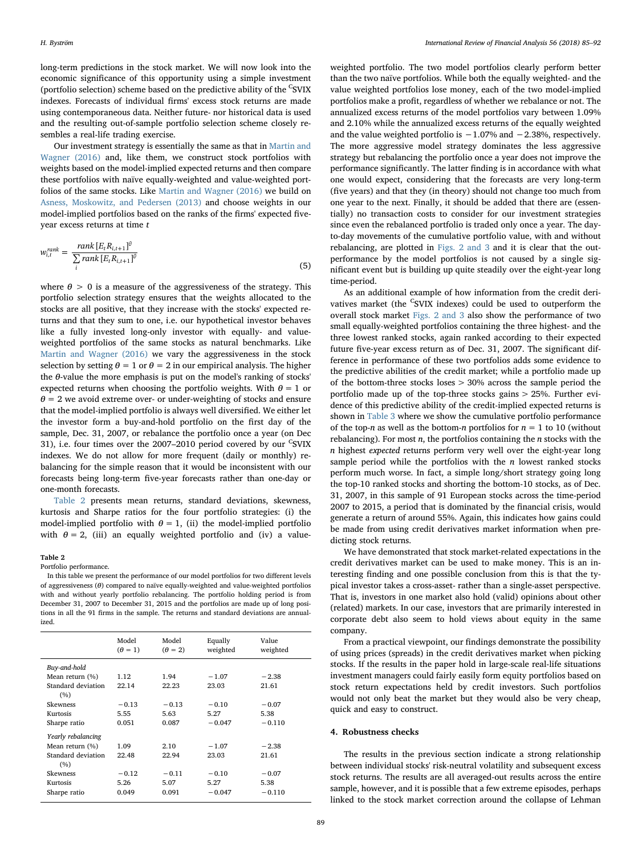long-term predictions in the stock market. We will now look into the economic significance of this opportunity using a simple investment (portfolio selection) scheme based on the predictive ability of the <sup>C</sup>SVIX indexes. Forecasts of individual firms' excess stock returns are made using contemporaneous data. Neither future- nor historical data is used and the resulting out-of-sample portfolio selection scheme closely resembles a real-life trading exercise.

Our investment strategy is essentially the same as that in [Martin and](#page-7-0) [Wagner \(2016\)](#page-7-0) and, like them, we construct stock portfolios with weights based on the model-implied expected returns and then compare these portfolios with naïve equally-weighted and value-weighted portfolios of the same stocks. Like [Martin and Wagner \(2016\)](#page-7-0) we build on [Asness, Moskowitz, and Pedersen \(2013\)](#page-7-17) and choose weights in our model-implied portfolios based on the ranks of the firms' expected fiveyear excess returns at time t

$$
w_{i,t}^{rank} = \frac{rank\left[E_t R_{i,t+1}\right]^{\theta}}{\sum_{i} rank\left[E_t R_{i,t+1}\right]^{\theta}}
$$
\n
$$
(5)
$$

where  $\theta > 0$  is a measure of the aggressiveness of the strategy. This portfolio selection strategy ensures that the weights allocated to the stocks are all positive, that they increase with the stocks' expected returns and that they sum to one, i.e. our hypothetical investor behaves like a fully invested long-only investor with equally- and valueweighted portfolios of the same stocks as natural benchmarks. Like [Martin and Wagner \(2016\)](#page-7-0) we vary the aggressiveness in the stock selection by setting  $\theta = 1$  or  $\theta = 2$  in our empirical analysis. The higher the θ-value the more emphasis is put on the model's ranking of stocks' expected returns when choosing the portfolio weights. With  $\theta = 1$  or  $\theta$  = 2 we avoid extreme over- or under-weighting of stocks and ensure that the model-implied portfolio is always well diversified. We either let the investor form a buy-and-hold portfolio on the first day of the sample, Dec. 31, 2007, or rebalance the portfolio once a year (on Dec 31), i.e. four times over the 2007–2010 period covered by our <sup>C</sup>SVIX indexes. We do not allow for more frequent (daily or monthly) rebalancing for the simple reason that it would be inconsistent with our forecasts being long-term five-year forecasts rather than one-day or one-month forecasts.

[Table 2](#page-4-1) presents mean returns, standard deviations, skewness, kurtosis and Sharpe ratios for the four portfolio strategies: (i) the model-implied portfolio with  $\theta = 1$ , (ii) the model-implied portfolio with  $\theta = 2$ , (iii) an equally weighted portfolio and (iv) a value-

#### <span id="page-4-1"></span>Table 2

Portfolio performance.

In this table we present the performance of our model portfolios for two different levels of aggressiveness  $(\theta)$  compared to naïve equally-weighted and value-weighted portfolios with and without yearly portfolio rebalancing. The portfolio holding period is from December 31, 2007 to December 31, 2015 and the portfolios are made up of long positions in all the 91 firms in the sample. The returns and standard deviations are annualized.

|                    | Model<br>$(\theta = 1)$ | Model<br>$(\theta = 2)$ | Equally<br>weighted | Value<br>weighted |
|--------------------|-------------------------|-------------------------|---------------------|-------------------|
| Buy-and-hold       |                         |                         |                     |                   |
| Mean return $(\%)$ | 1.12                    | 1.94                    | $-1.07$             | $-2.38$           |
| Standard deviation | 22.14                   | 22.23                   | 23.03               | 21.61             |
| (%)                |                         |                         |                     |                   |
| <b>Skewness</b>    | $-0.13$                 | $-0.13$                 | $-0.10$             | $-0.07$           |
| Kurtosis           | 5.55                    | 5.63                    | 5.27                | 5.38              |
| Sharpe ratio       | 0.051                   | 0.087                   | $-0.047$            | $-0.110$          |
| Yearly rebalancing |                         |                         |                     |                   |
| Mean return $(\%)$ | 1.09                    | 2.10                    | $-1.07$             | $-2.38$           |
| Standard deviation | 22.48                   | 22.94                   | 23.03               | 21.61             |
| (%)                |                         |                         |                     |                   |
| <b>Skewness</b>    | $-0.12$                 | $-0.11$                 | $-0.10$             | $-0.07$           |
| Kurtosis           | 5.26                    | 5.07                    | 5.27                | 5.38              |
| Sharpe ratio       | 0.049                   | 0.091                   | $-0.047$            | $-0.110$          |
|                    |                         |                         |                     |                   |

weighted portfolio. The two model portfolios clearly perform better than the two naïve portfolios. While both the equally weighted- and the value weighted portfolios lose money, each of the two model-implied portfolios make a profit, regardless of whether we rebalance or not. The annualized excess returns of the model portfolios vary between 1.09% and 2.10% while the annualized excess returns of the equally weighted and the value weighted portfolio is  $-1.07\%$  and  $-2.38\%$ , respectively. The more aggressive model strategy dominates the less aggressive strategy but rebalancing the portfolio once a year does not improve the performance significantly. The latter finding is in accordance with what one would expect, considering that the forecasts are very long-term (five years) and that they (in theory) should not change too much from one year to the next. Finally, it should be added that there are (essentially) no transaction costs to consider for our investment strategies since even the rebalanced portfolio is traded only once a year. The dayto-day movements of the cumulative portfolio value, with and without rebalancing, are plotted in [Figs. 2 and 3](#page-5-0) and it is clear that the outperformance by the model portfolios is not caused by a single significant event but is building up quite steadily over the eight-year long time-period.

As an additional example of how information from the credit derivatives market (the <sup>C</sup>SVIX indexes) could be used to outperform the overall stock market [Figs. 2 and 3](#page-5-0) also show the performance of two small equally-weighted portfolios containing the three highest- and the three lowest ranked stocks, again ranked according to their expected future five-year excess return as of Dec. 31, 2007. The significant difference in performance of these two portfolios adds some evidence to the predictive abilities of the credit market; while a portfolio made up of the bottom-three stocks loses > 30% across the sample period the portfolio made up of the top-three stocks gains > 25%. Further evidence of this predictive ability of the credit-implied expected returns is shown in [Table 3](#page-5-1) where we show the cumulative portfolio performance of the top-n as well as the bottom-n portfolios for  $n = 1$  to 10 (without rebalancing). For most  $n$ , the portfolios containing the  $n$  stocks with the n highest expected returns perform very well over the eight-year long sample period while the portfolios with the  $n$  lowest ranked stocks perform much worse. In fact, a simple long/short strategy going long the top-10 ranked stocks and shorting the bottom-10 stocks, as of Dec. 31, 2007, in this sample of 91 European stocks across the time-period 2007 to 2015, a period that is dominated by the financial crisis, would generate a return of around 55%. Again, this indicates how gains could be made from using credit derivatives market information when predicting stock returns.

We have demonstrated that stock market-related expectations in the credit derivatives market can be used to make money. This is an interesting finding and one possible conclusion from this is that the typical investor takes a cross-asset- rather than a single-asset perspective. That is, investors in one market also hold (valid) opinions about other (related) markets. In our case, investors that are primarily interested in corporate debt also seem to hold views about equity in the same company.

From a practical viewpoint, our findings demonstrate the possibility of using prices (spreads) in the credit derivatives market when picking stocks. If the results in the paper hold in large-scale real-life situations investment managers could fairly easily form equity portfolios based on stock return expectations held by credit investors. Such portfolios would not only beat the market but they would also be very cheap, quick and easy to construct.

## <span id="page-4-0"></span>4. Robustness checks

The results in the previous section indicate a strong relationship between individual stocks' risk-neutral volatility and subsequent excess stock returns. The results are all averaged-out results across the entire sample, however, and it is possible that a few extreme episodes, perhaps linked to the stock market correction around the collapse of Lehman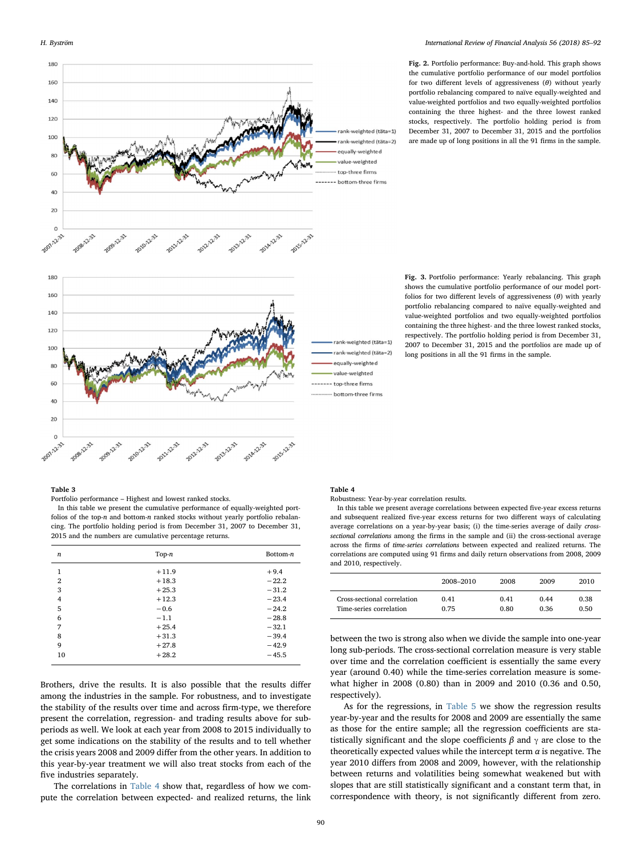<span id="page-5-0"></span>

Fig. 2. Portfolio performance: Buy-and-hold. This graph shows the cumulative portfolio performance of our model portfolios for two different levels of aggressiveness  $(\theta)$  without yearly portfolio rebalancing compared to naïve equally-weighted and value-weighted portfolios and two equally-weighted portfolios containing the three highest- and the three lowest ranked stocks, respectively. The portfolio holding period is from December 31, 2007 to December 31, 2015 and the portfolios are made up of long positions in all the 91 firms in the sample.

Fig. 3. Portfolio performance: Yearly rebalancing. This graph shows the cumulative portfolio performance of our model portfolios for two different levels of aggressiveness  $(\theta)$  with yearly portfolio rebalancing compared to naïve equally-weighted and value-weighted portfolios and two equally-weighted portfolios containing the three highest- and the three lowest ranked stocks, respectively. The portfolio holding period is from December 31, 2007 to December 31, 2015 and the portfolios are made up of

long positions in all the 91 firms in the sample.

# <span id="page-5-1"></span>Table 3

Portfolio performance – Highest and lowest ranked stocks.

In this table we present the cumulative performance of equally-weighted portfolios of the top-n and bottom-n ranked stocks without yearly portfolio rebalancing. The portfolio holding period is from December 31, 2007 to December 31, 2015 and the numbers are cumulative percentage returns.

| $\boldsymbol{n}$ | $Top-n$ | Bottom-n |
|------------------|---------|----------|
| 1                | $+11.9$ | $+9.4$   |
| 2                | $+18.3$ | $-22.2$  |
| 3                | $+25.3$ | $-31.2$  |
| $\overline{4}$   | $+12.3$ | $-23.4$  |
| 5                | $-0.6$  | $-24.2$  |
| 6                | $-1.1$  | $-28.8$  |
| 7                | $+25.4$ | $-32.1$  |
| 8                | $+31.3$ | $-39.4$  |
| 9                | $+27.8$ | $-42.9$  |
| 10               | $+28.2$ | $-45.5$  |
|                  |         |          |

Brothers, drive the results. It is also possible that the results differ among the industries in the sample. For robustness, and to investigate the stability of the results over time and across firm-type, we therefore present the correlation, regression- and trading results above for subperiods as well. We look at each year from 2008 to 2015 individually to get some indications on the stability of the results and to tell whether the crisis years 2008 and 2009 differ from the other years. In addition to this year-by-year treatment we will also treat stocks from each of the five industries separately.

The correlations in [Table 4](#page-5-2) show that, regardless of how we compute the correlation between expected- and realized returns, the link <span id="page-5-2"></span>Table 4

Robustness: Year-by-year correlation results.

In this table we present average correlations between expected five-year excess returns and subsequent realized five-year excess returns for two different ways of calculating average correlations on a year-by-year basis; (i) the time-series average of daily crosssectional correlations among the firms in the sample and (ii) the cross-sectional average across the firms of time-series correlations between expected and realized returns. The correlations are computed using 91 firms and daily return observations from 2008, 2009 and 2010, respectively.

|                             | 2008–2010 | 2008 | 2009 | 2010 |
|-----------------------------|-----------|------|------|------|
| Cross-sectional correlation | 0.41      | 0.41 | 0.44 | 0.38 |
| Time-series correlation     | 0.75      | 0.80 | 0.36 | 0.50 |

between the two is strong also when we divide the sample into one-year long sub-periods. The cross-sectional correlation measure is very stable over time and the correlation coefficient is essentially the same every year (around 0.40) while the time-series correlation measure is somewhat higher in 2008 (0.80) than in 2009 and 2010 (0.36 and 0.50, respectively).

As for the regressions, in [Table 5](#page-6-1) we show the regression results year-by-year and the results for 2008 and 2009 are essentially the same as those for the entire sample; all the regression coefficients are statistically significant and the slope coefficients  $\beta$  and  $\gamma$  are close to the theoretically expected values while the intercept term  $\alpha$  is negative. The year 2010 differs from 2008 and 2009, however, with the relationship between returns and volatilities being somewhat weakened but with slopes that are still statistically significant and a constant term that, in correspondence with theory, is not significantly different from zero.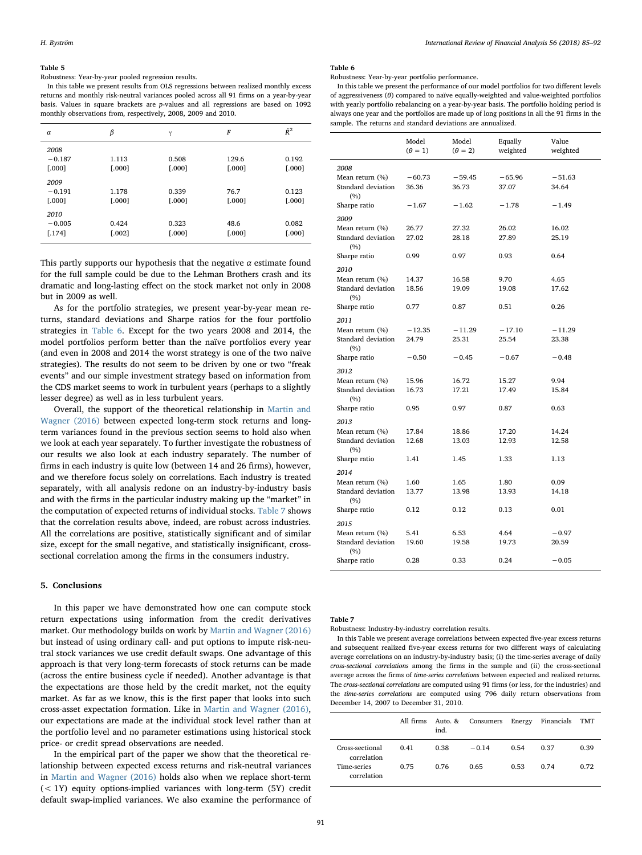### <span id="page-6-1"></span>Table 5

# Robustness: Year-by-year pooled regression results.

In this table we present results from OLS regressions between realized monthly excess returns and monthly risk-neutral variances pooled across all 91 firms on a year-by-year basis. Values in square brackets are p-values and all regressions are based on 1092 monthly observations from, respectively, 2008, 2009 and 2010.

| $\alpha$                   | β                 | γ                 | $\cal F$          | $\hat{R}^2$       |
|----------------------------|-------------------|-------------------|-------------------|-------------------|
| 2008<br>$-0.187$<br>[.000] | 1.113<br>[.000]   | 0.508<br>[.000]   | 129.6<br>$[.000]$ | 0.192<br>[.000]   |
| 2009<br>$-0.191$<br>[.000] | 1.178<br>[.000]   | 0.339<br>$[.000]$ | 76.7<br>$[.000]$  | 0.123<br>[.000]   |
| 2010<br>$-0.005$<br>[.174] | 0.424<br>$[.002]$ | 0.323<br>$[.000]$ | 48.6<br>$[.000]$  | 0.082<br>$[.000]$ |

This partly supports our hypothesis that the negative  $\alpha$  estimate found for the full sample could be due to the Lehman Brothers crash and its dramatic and long-lasting effect on the stock market not only in 2008 but in 2009 as well.

As for the portfolio strategies, we present year-by-year mean returns, standard deviations and Sharpe ratios for the four portfolio strategies in [Table 6](#page-6-2). Except for the two years 2008 and 2014, the model portfolios perform better than the naïve portfolios every year (and even in 2008 and 2014 the worst strategy is one of the two naïve strategies). The results do not seem to be driven by one or two "freak events" and our simple investment strategy based on information from the CDS market seems to work in turbulent years (perhaps to a slightly lesser degree) as well as in less turbulent years.

Overall, the support of the theoretical relationship in [Martin and](#page-7-0) [Wagner \(2016\)](#page-7-0) between expected long-term stock returns and longterm variances found in the previous section seems to hold also when we look at each year separately. To further investigate the robustness of our results we also look at each industry separately. The number of firms in each industry is quite low (between 14 and 26 firms), however, and we therefore focus solely on correlations. Each industry is treated separately, with all analysis redone on an industry-by-industry basis and with the firms in the particular industry making up the "market" in the computation of expected returns of individual stocks. [Table 7](#page-6-3) shows that the correlation results above, indeed, are robust across industries. All the correlations are positive, statistically significant and of similar size, except for the small negative, and statistically insignificant, crosssectional correlation among the firms in the consumers industry.

## <span id="page-6-0"></span>5. Conclusions

In this paper we have demonstrated how one can compute stock return expectations using information from the credit derivatives market. Our methodology builds on work by [Martin and Wagner \(2016\)](#page-7-0) but instead of using ordinary call- and put options to impute risk-neutral stock variances we use credit default swaps. One advantage of this approach is that very long-term forecasts of stock returns can be made (across the entire business cycle if needed). Another advantage is that the expectations are those held by the credit market, not the equity market. As far as we know, this is the first paper that looks into such cross-asset expectation formation. Like in [Martin and Wagner \(2016\)](#page-7-0), our expectations are made at the individual stock level rather than at the portfolio level and no parameter estimations using historical stock price- or credit spread observations are needed.

In the empirical part of the paper we show that the theoretical relationship between expected excess returns and risk-neutral variances in [Martin and Wagner \(2016\)](#page-7-0) holds also when we replace short-term (< 1Y) equity options-implied variances with long-term (5Y) credit default swap-implied variances. We also examine the performance of

#### <span id="page-6-2"></span>Table 6

Robustness: Year-by-year portfolio performance.

In this table we present the performance of our model portfolios for two different levels of aggressiveness  $(\theta)$  compared to naïve equally-weighted and value-weighted portfolios with yearly portfolio rebalancing on a year-by-year basis. The portfolio holding period is always one year and the portfolios are made up of long positions in all the 91 firms in the sample. The returns and standard deviations are annualized.

|                    | Model<br>$(\theta = 1)$ | Model<br>$(\theta = 2)$ | Equally<br>weighted | Value<br>weighted |
|--------------------|-------------------------|-------------------------|---------------------|-------------------|
| 2008               |                         |                         |                     |                   |
| Mean return (%)    | $-60.73$                | $-59.45$                | $-65.96$            | $-51.63$          |
| Standard deviation | 36.36                   | 36.73                   | 37.07               | 34.64             |
| (%)                |                         |                         |                     |                   |
| Sharpe ratio       | $-1.67$                 | $-1.62$                 | $-1.78$             | $-1.49$           |
| 2009               |                         |                         |                     |                   |
| Mean return (%)    | 26.77                   | 27.32                   | 26.02               | 16.02             |
| Standard deviation | 27.02                   | 28.18                   | 27.89               | 25.19             |
| (%)                |                         |                         |                     |                   |
| Sharpe ratio       | 0.99                    | 0.97                    | 0.93                | 0.64              |
| 2010               |                         |                         |                     |                   |
| Mean return (%)    | 14.37                   | 16.58                   | 9.70                | 4.65              |
| Standard deviation | 18.56                   | 19.09                   | 19.08               | 17.62             |
| (%)                |                         |                         |                     |                   |
| Sharpe ratio       | 0.77                    | 0.87                    | 0.51                | 0.26              |
| 2011               |                         |                         |                     |                   |
| Mean return (%)    | $-12.35$                | $-11.29$                | $-17.10$            | $-11.29$          |
| Standard deviation | 24.79                   | 25.31                   | 25.54               | 23.38             |
| (%)                |                         |                         |                     |                   |
| Sharpe ratio       | $-0.50$                 | $-0.45$                 | $-0.67$             | $-0.48$           |
| 2012               |                         |                         |                     |                   |
| Mean return (%)    | 15.96                   | 16.72                   | 15.27               | 9.94              |
| Standard deviation | 16.73                   | 17.21                   | 17.49               | 15.84             |
| (%)                |                         |                         |                     |                   |
| Sharpe ratio       | 0.95                    | 0.97                    | 0.87                | 0.63              |
| 2013               |                         |                         |                     |                   |
| Mean return (%)    | 17.84                   | 18.86                   | 17.20               | 14.24             |
| Standard deviation | 12.68                   | 13.03                   | 12.93               | 12.58             |
| (%)                |                         |                         |                     |                   |
| Sharpe ratio       | 1.41                    | 1.45                    | 1.33                | 1.13              |
| 2014               |                         |                         |                     |                   |
| Mean return (%)    | 1.60                    | 1.65                    | 1.80                | 0.09              |
| Standard deviation | 13.77                   | 13.98                   | 13.93               | 14.18             |
| (%)                |                         |                         |                     |                   |
| Sharpe ratio       | 0.12                    | 0.12                    | 0.13                | 0.01              |
| 2015               |                         |                         |                     |                   |
| Mean return (%)    | 5.41                    | 6.53                    | 4.64                | $-0.97$           |
| Standard deviation | 19.60                   | 19.58                   | 19.73               | 20.59             |
| (%)                |                         |                         |                     |                   |
| Sharpe ratio       | 0.28                    | 0.33                    | 0.24                | $-0.05$           |

#### <span id="page-6-3"></span>Table 7

Robustness: Industry-by-industry correlation results.

In this Table we present average correlations between expected five-year excess returns and subsequent realized five-year excess returns for two different ways of calculating average correlations on an industry-by-industry basis; (i) the time-series average of daily cross-sectional correlations among the firms in the sample and (ii) the cross-sectional average across the firms of time-series correlations between expected and realized returns. The cross-sectional correlations are computed using 91 firms (or less, for the industries) and the time-series correlations are computed using 796 daily return observations from December 14, 2007 to December 31, 2010.

|                                | All firms | Auto. &<br>ind. | Consumers Energy |      | Financials | TMT  |
|--------------------------------|-----------|-----------------|------------------|------|------------|------|
| Cross-sectional<br>correlation | 0.41      | 0.38            | $-0.14$          | 0.54 | 0.37       | 0.39 |
| Time-series<br>correlation     | 0.75      | 0.76            | 0.65             | 0.53 | 0.74       | 0.72 |